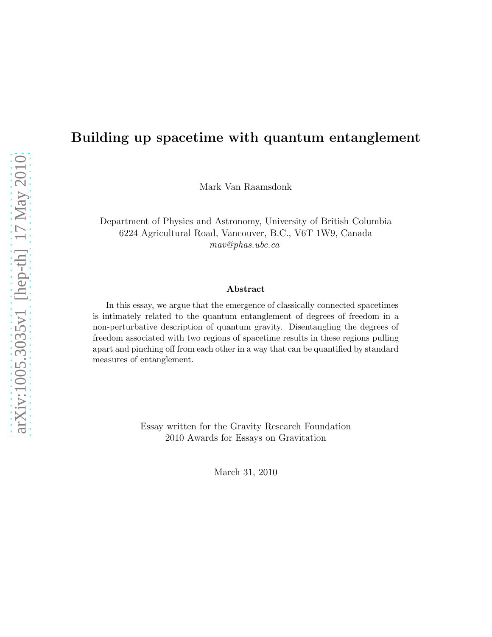### Building up spacetime with quantum entanglement

Mark Van Raamsdonk

Department of Physics and Astronomy, University of British Columbia 6224 Agricultural Road, Vancouver, B.C., V6T 1W9, Canada mav@phas.ubc.ca

#### Abstract

In this essay, we argue that the emergence of classically connected spacetimes is intimately related to the quantum entanglement of degrees of freedom in a non-perturbative description of quantum gravity. Disentangling the degrees of freedom associated with two regions of spacetime results in these regions pulling apart and pinching off from each other in a way that can be quantified by standard measures of entanglement.

> Essay written for the Gravity Research Foundation 2010 Awards for Essays on Gravitation

> > March 31, 2010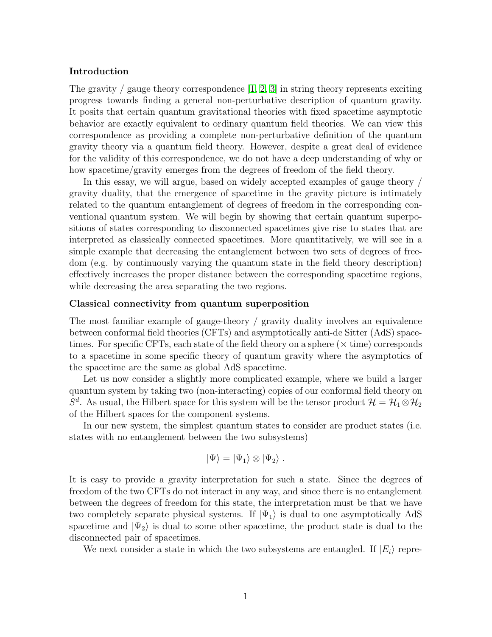#### Introduction

The gravity / gauge theory correspondence  $[1, 2, 3]$  $[1, 2, 3]$  $[1, 2, 3]$  in string theory represents exciting progress towards finding a general non-perturbative description of quantum gravity. It posits that certain quantum gravitational theories with fixed spacetime asymptotic behavior are exactly equivalent to ordinary quantum field theories. We can view this correspondence as providing a complete non-perturbative definition of the quantum gravity theory via a quantum field theory. However, despite a great deal of evidence for the validity of this correspondence, we do not have a deep understanding of why or how spacetime/gravity emerges from the degrees of freedom of the field theory.

In this essay, we will argue, based on widely accepted examples of gauge theory / gravity duality, that the emergence of spacetime in the gravity picture is intimately related to the quantum entanglement of degrees of freedom in the corresponding conventional quantum system. We will begin by showing that certain quantum superpositions of states corresponding to disconnected spacetimes give rise to states that are interpreted as classically connected spacetimes. More quantitatively, we will see in a simple example that decreasing the entanglement between two sets of degrees of freedom (e.g. by continuously varying the quantum state in the field theory description) effectively increases the proper distance between the corresponding spacetime regions, while decreasing the area separating the two regions.

#### Classical connectivity from quantum superposition

The most familiar example of gauge-theory / gravity duality involves an equivalence between conformal field theories (CFTs) and asymptotically anti-de Sitter (AdS) spacetimes. For specific CFTs, each state of the field theory on a sphere  $(\times$  time) corresponds to a spacetime in some specific theory of quantum gravity where the asymptotics of the spacetime are the same as global AdS spacetime.

Let us now consider a slightly more complicated example, where we build a larger quantum system by taking two (non-interacting) copies of our conformal field theory on  $S^d$ . As usual, the Hilbert space for this system will be the tensor product  $\mathcal{H} = \mathcal{H}_1 \otimes \mathcal{H}_2$ of the Hilbert spaces for the component systems.

In our new system, the simplest quantum states to consider are product states (i.e. states with no entanglement between the two subsystems)

$$
\ket{\Psi} = \ket{\Psi_1} \otimes \ket{\Psi_2}.
$$

It is easy to provide a gravity interpretation for such a state. Since the degrees of freedom of the two CFTs do not interact in any way, and since there is no entanglement between the degrees of freedom for this state, the interpretation must be that we have two completely separate physical systems. If  $|\Psi_1\rangle$  is dual to one asymptotically AdS spacetime and  $|\Psi_2\rangle$  is dual to some other spacetime, the product state is dual to the disconnected pair of spacetimes.

We next consider a state in which the two subsystems are entangled. If  $|E_i\rangle$  repre-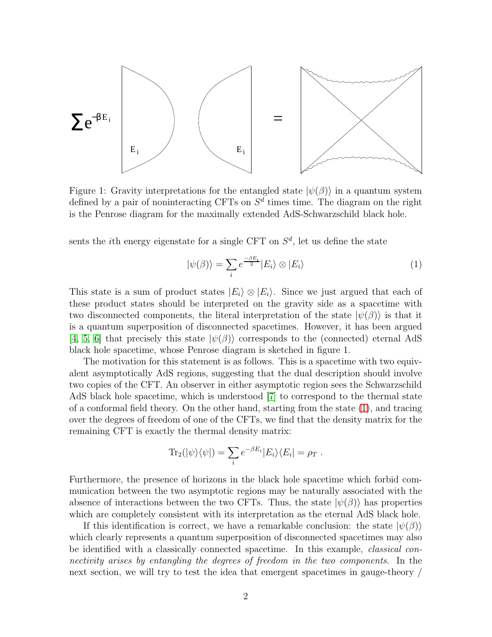

Figure 1: Gravity interpretations for the entangled state  $|\psi(\beta)\rangle$  in a quantum system defined by a pair of noninteracting CFTs on  $S<sup>d</sup>$  times time. The diagram on the right is the Penrose diagram for the maximally extended AdS-Schwarzschild black hole.

sents the *i*th energy eigenstate for a single CFT on  $S^d$ , let us define the state

<span id="page-2-0"></span>
$$
|\psi(\beta)\rangle = \sum_{i} e^{\frac{-\beta E_i}{2}} |E_i\rangle \otimes |E_i\rangle \tag{1}
$$

This state is a sum of product states  $|E_i\rangle \otimes |E_i\rangle$ . Since we just argued that each of these product states should be interpreted on the gravity side as a spacetime with two disconnected components, the literal interpretation of the state  $|\psi(\beta)\rangle$  is that it is a quantum superposition of disconnected spacetimes. However, it has been argued [\[4,](#page-6-3) [5,](#page-6-4) [6\]](#page-6-5) that precisely this state  $|\psi(\beta)\rangle$  corresponds to the (connected) eternal AdS black hole spacetime, whose Penrose diagram is sketched in figure 1.

The motivation for this statement is as follows. This is a spacetime with two equivalent asymptotically AdS regions, suggesting that the dual description should involve two copies of the CFT. An observer in either asymptotic region sees the Schwarzschild AdS black hole spacetime, which is understood [\[7\]](#page-6-6) to correspond to the thermal state of a conformal field theory. On the other hand, starting from the state [\(1\)](#page-2-0), and tracing over the degrees of freedom of one of the CFTs, we find that the density matrix for the remaining CFT is exactly the thermal density matrix:

$$
\mathrm{Tr}_2(|\psi\rangle\langle\psi|) = \sum_i e^{-\beta E_i} |E_i\rangle\langle E_i| = \rho_T.
$$

Furthermore, the presence of horizons in the black hole spacetime which forbid communication between the two asymptotic regions may be naturally associated with the absence of interactions between the two CFTs. Thus, the state  $|\psi(\beta)\rangle$  has properties which are completely consistent with its interpretation as the eternal AdS black hole.

If this identification is correct, we have a remarkable conclusion: the state  $|\psi(\beta)\rangle$ which clearly represents a quantum superposition of disconnected spacetimes may also be identified with a classically connected spacetime. In this example, classical connectivity arises by entangling the degrees of freedom in the two components. In the next section, we will try to test the idea that emergent spacetimes in gauge-theory /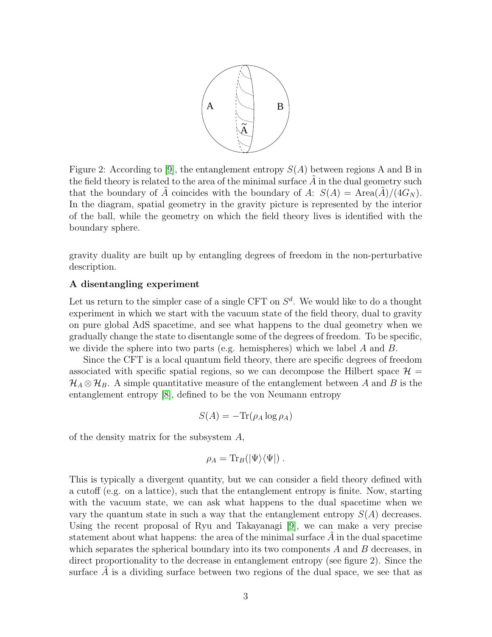

Figure 2: According to [\[9\]](#page-6-7), the entanglement entropy  $S(A)$  between regions A and B in the field theory is related to the area of the minimal surface  $A$  in the dual geometry such that the boundary of A coincides with the boundary of A:  $S(A) = \text{Area}(A)/(4G_N)$ . In the diagram, spatial geometry in the gravity picture is represented by the interior of the ball, while the geometry on which the field theory lives is identified with the boundary sphere.

gravity duality are built up by entangling degrees of freedom in the non-perturbative description.

#### A disentangling experiment

Let us return to the simpler case of a single CFT on  $S^d$ . We would like to do a thought experiment in which we start with the vacuum state of the field theory, dual to gravity on pure global AdS spacetime, and see what happens to the dual geometry when we gradually change the state to disentangle some of the degrees of freedom. To be specific, we divide the sphere into two parts (e.g. hemispheres) which we label  $A$  and  $B$ .

Since the CFT is a local quantum field theory, there are specific degrees of freedom associated with specific spatial regions, so we can decompose the Hilbert space  $\mathcal{H} =$  $\mathcal{H}_A \otimes \mathcal{H}_B$ . A simple quantitative measure of the entanglement between A and B is the entanglement entropy [\[8\]](#page-6-8), defined to be the von Neumann entropy

$$
S(A) = -\text{Tr}(\rho_A \log \rho_A)
$$

of the density matrix for the subsystem A,

$$
\rho_A = \text{Tr}_B(\vert\Psi\rangle\langle\Psi\vert) .
$$

This is typically a divergent quantity, but we can consider a field theory defined with a cutoff (e.g. on a lattice), such that the entanglement entropy is finite. Now, starting with the vacuum state, we can ask what happens to the dual spacetime when we vary the quantum state in such a way that the entanglement entropy  $S(A)$  decreases. Using the recent proposal of Ryu and Takayanagi [\[9\]](#page-6-7), we can make a very precise statement about what happens: the area of the minimal surface  $A$  in the dual spacetime which separates the spherical boundary into its two components  $A$  and  $B$  decreases, in direct proportionality to the decrease in entanglement entropy (see figure 2). Since the surface  $A$  is a dividing surface between two regions of the dual space, we see that as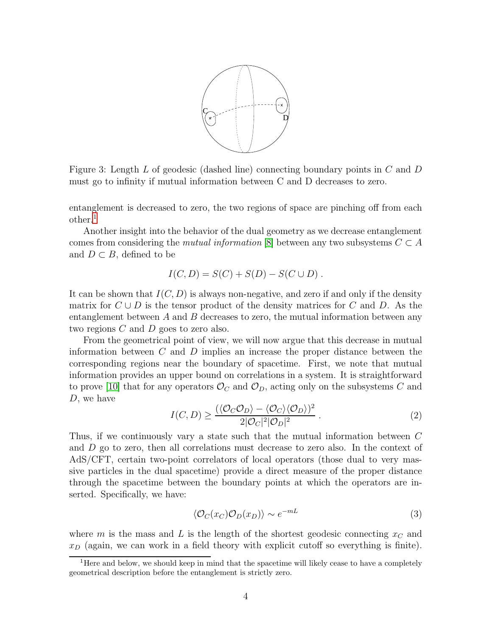

Figure 3: Length L of geodesic (dashed line) connecting boundary points in C and D must go to infinity if mutual information between C and D decreases to zero.

entanglement is decreased to zero, the two regions of space are pinching off from each other.[1](#page-4-0)

Another insight into the behavior of the dual geometry as we decrease entanglement comes from considering the *mutual information* [\[8\]](#page-6-8) between any two subsystems  $C \subset A$ and  $D \subset B$ , defined to be

$$
I(C, D) = S(C) + S(D) - S(C \cup D).
$$

It can be shown that  $I(C, D)$  is always non-negative, and zero if and only if the density matrix for  $C \cup D$  is the tensor product of the density matrices for C and D. As the entanglement between  $A$  and  $B$  decreases to zero, the mutual information between any two regions C and D goes to zero also.

From the geometrical point of view, we will now argue that this decrease in mutual information between  $C$  and  $D$  implies an increase the proper distance between the corresponding regions near the boundary of spacetime. First, we note that mutual information provides an upper bound on correlations in a system. It is straightforward to prove [\[10\]](#page-6-9) that for any operators  $\mathcal{O}_C$  and  $\mathcal{O}_D$ , acting only on the subsystems C and D, we have

<span id="page-4-2"></span>
$$
I(C, D) \ge \frac{(\langle \mathcal{O}_C \mathcal{O}_D \rangle - \langle \mathcal{O}_C \rangle \langle \mathcal{O}_D \rangle)^2}{2|\mathcal{O}_C|^2|\mathcal{O}_D|^2} \,. \tag{2}
$$

Thus, if we continuously vary a state such that the mutual information between C and D go to zero, then all correlations must decrease to zero also. In the context of AdS/CFT, certain two-point correlators of local operators (those dual to very massive particles in the dual spacetime) provide a direct measure of the proper distance through the spacetime between the boundary points at which the operators are inserted. Specifically, we have:

<span id="page-4-1"></span>
$$
\langle \mathcal{O}_C(x_C) \mathcal{O}_D(x_D) \rangle \sim e^{-mL} \tag{3}
$$

where m is the mass and L is the length of the shortest geodesic connecting  $x_C$  and  $x_D$  (again, we can work in a field theory with explicit cutoff so everything is finite).

<span id="page-4-0"></span><sup>&</sup>lt;sup>1</sup>Here and below, we should keep in mind that the spacetime will likely cease to have a completely geometrical description before the entanglement is strictly zero.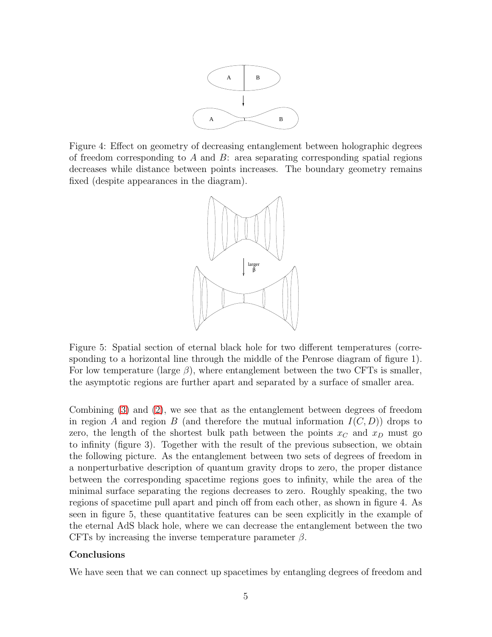

Figure 4: Effect on geometry of decreasing entanglement between holographic degrees of freedom corresponding to A and B: area separating corresponding spatial regions decreases while distance between points increases. The boundary geometry remains fixed (despite appearances in the diagram).



Figure 5: Spatial section of eternal black hole for two different temperatures (corresponding to a horizontal line through the middle of the Penrose diagram of figure 1). For low temperature (large  $\beta$ ), where entanglement between the two CFTs is smaller, the asymptotic regions are further apart and separated by a surface of smaller area.

Combining [\(3\)](#page-4-1) and [\(2\)](#page-4-2), we see that as the entanglement between degrees of freedom in region A and region B (and therefore the mutual information  $I(C, D)$ ) drops to zero, the length of the shortest bulk path between the points  $x_C$  and  $x_D$  must go to infinity (figure 3). Together with the result of the previous subsection, we obtain the following picture. As the entanglement between two sets of degrees of freedom in a nonperturbative description of quantum gravity drops to zero, the proper distance between the corresponding spacetime regions goes to infinity, while the area of the minimal surface separating the regions decreases to zero. Roughly speaking, the two regions of spacetime pull apart and pinch off from each other, as shown in figure 4. As seen in figure 5, these quantitative features can be seen explicitly in the example of the eternal AdS black hole, where we can decrease the entanglement between the two CFTs by increasing the inverse temperature parameter  $\beta$ .

#### Conclusions

We have seen that we can connect up spacetimes by entangling degrees of freedom and